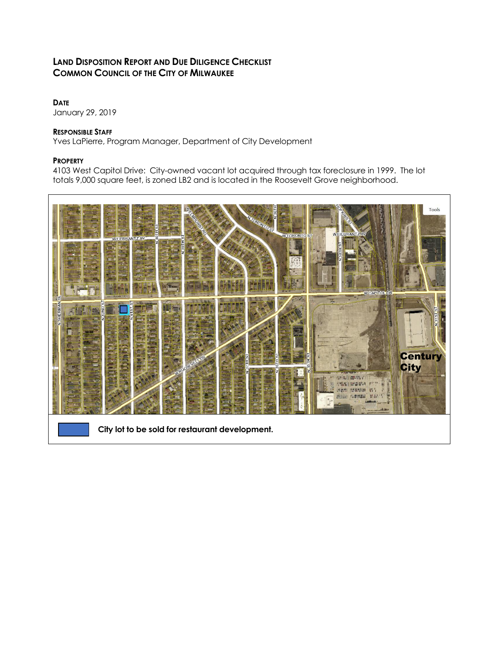# **LAND DISPOSITION REPORT AND DUE DILIGENCE CHECKLIST COMMON COUNCIL OF THE CITY OF MILWAUKEE**

## **DATE**

January 29, 2019

## **RESPONSIBLE STAFF**

Yves LaPierre, Program Manager, Department of City Development

## **PROPERTY**

4103 West Capitol Drive: City-owned vacant lot acquired through tax foreclosure in 1999. The lot totals 9,000 square feet, is zoned LB2 and is located in the Roosevelt Grove neighborhood.

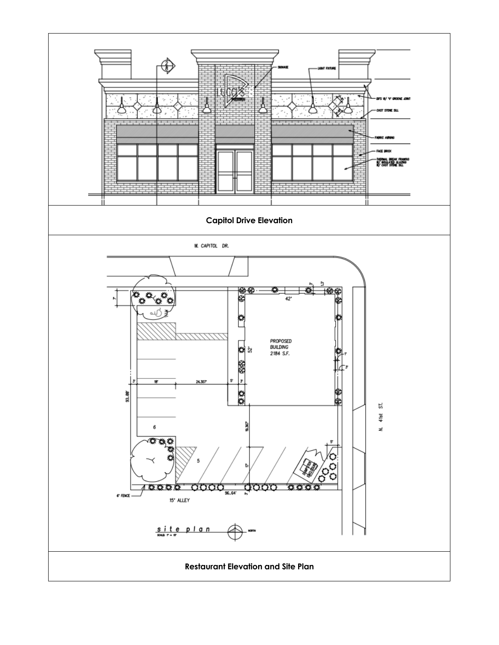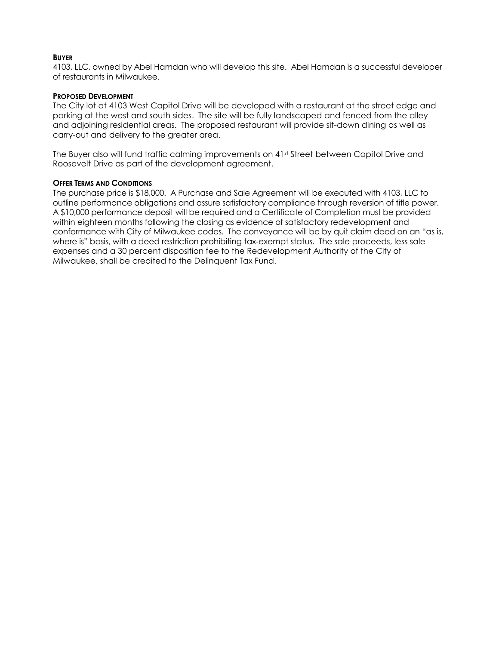#### **BUYER**

4103, LLC, owned by Abel Hamdan who will develop this site. Abel Hamdan is a successful developer of restaurants in Milwaukee.

#### **PROPOSED DEVELOPMENT**

The City lot at 4103 West Capitol Drive will be developed with a restaurant at the street edge and parking at the west and south sides. The site will be fully landscaped and fenced from the alley and adjoining residential areas. The proposed restaurant will provide sit-down dining as well as carry-out and delivery to the greater area.

The Buyer also will fund traffic calming improvements on 41st Street between Capitol Drive and Roosevelt Drive as part of the development agreement.

#### **OFFER TERMS AND CONDITIONS**

The purchase price is \$18,000. A Purchase and Sale Agreement will be executed with 4103, LLC to outline performance obligations and assure satisfactory compliance through reversion of title power. A \$10,000 performance deposit will be required and a Certificate of Completion must be provided within eighteen months following the closing as evidence of satisfactory redevelopment and conformance with City of Milwaukee codes. The conveyance will be by quit claim deed on an "as is, where is" basis, with a deed restriction prohibiting tax-exempt status. The sale proceeds, less sale expenses and a 30 percent disposition fee to the Redevelopment Authority of the City of Milwaukee, shall be credited to the Delinquent Tax Fund.